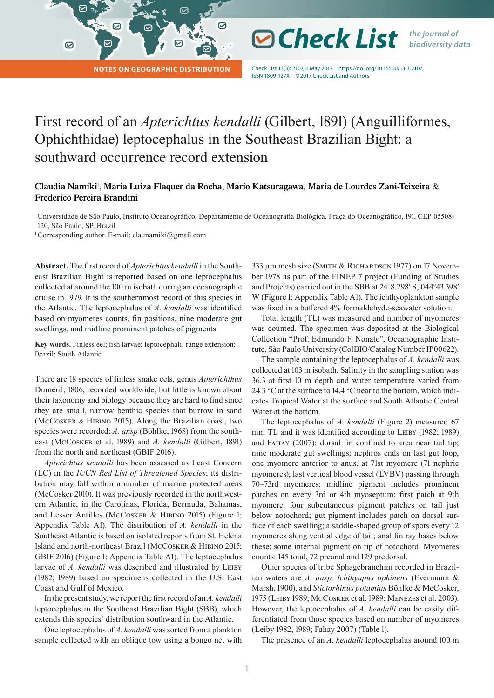**Notes on Geographic Distribution**

Check List 13(3): 2107, 6 May 2017 https://doi.org/10.15560/13.3.2107 ISSN 1809-127X ©2017 Check List and Authors

**⊘ Check List** *the journal of* 

*biodiversity data*

# First record of an *Apterichtus kendalli* (Gilbert, 1891) (Anguilliformes, Ophichthidae) leptocephalus in the Southeast Brazilian Bight: a southward occurrence record extension

☑

## **Claudia Namiki**<sup>1</sup> , **Maria Luiza Flaquer da Rocha**, **Mario Katsuragawa**, **Maria de Lourdes Zani-Teixeira** & **Frederico Pereira Brandini**

Universidade de São Paulo, Instituto Oceanográfico, Departamento de Oceanografia Biológica, Praça do Oceanográfico, 191, CEP 05508- 120, São Paulo, SP, Brazil

<sup>1</sup> Corresponding author. E-mail: [claunamiki@gmail.com](mailto:claunamiki%40gmail.com?subject=)

 $\sim$ 

 $\odot$ 

**Abstract.** The first record of *Apterichtus kendalli* in the Southeast Brazilian Bight is reported based on one leptocephalus collected at around the 100 m isobath during an oceanographic cruise in 1979. It is the southernmost record of this species in the Atlantic. The leptocephalus of *A. kendalli* was identified based on myomeres counts, fin positions, nine moderate gut swellings, and midline prominent patches of pigments.

**Key words.** Finless eel; fish larvae; leptocephali; range extension; Brazil; South Atlantic

There are 18 species of finless snake eels, genus *Apterichthus* Duméril, 1806, recorded worldwide, but little is known about their taxonomy and biology because they are hard to find since they are small, narrow benthic species that burrow in sand (McCosker & Hibino 2015). Along the Brazilian coast, two species were recorded: *A. ansp* (Böhlke, 1968) from the southeast (McCosker et al. 1989) and *A. kendalli* (Gilbert, 1891) from the north and northeast (GBIF 2016).

*Apterichtus kendalli* has been assessed as Least Concern (LC) in the *IUCN Red List of Threatened Species*; its distribution may fall within a number of marine protected areas (McCosker 2010). It was previously recorded in the northwestern Atlantic, in the Carolinas, Florida, Bermuda, Bahamas, and Lesser Antilles (McCosker & Hibino 2015) (Figure 1; Appendix Table A1). The distribution of *A. kendalli* in the Southeast Atlantic is based on isolated reports from St. Helena Island and north-northeast Brazil (McCosker & Hibino 2015; GBIF 2016) (Figure 1; Appendix Table A1). The leptocephalus larvae of *A. kendalli* was described and illustrated by LEIBY (1982; 1989) based on specimens collected in the U.S. East Coast and Gulf of Mexico.

In the present study, we report the first record of an *A. kendalli* leptocephalus in the Southeast Brazilian Bight (SBB), which extends this species' distribution southward in the Atlantic.

One leptocephalus of *A. kendalli* was sorted from a plankton sample collected with an oblique tow using a bongo net with 333 µm mesh size (SMITH & RICHARDSON 1977) on 17 November 1978 as part of the FINEP 7 project (Funding of Studies and Projects) carried out in the SBB at 24°8.298ʹ S, 044°43.398ʹ W (Figure 1; Appendix Table A1). The ichthyoplankton sample was fixed in a buffered 4% formaldehyde-seawater solution.

Total length (TL) was measured and number of myomeres was counted. The specimen was deposited at the Biological Collection "Prof. Edmundo F. Nonato", Oceanographic Institute, São Paulo University (ColBIO/Catalog Number IP00622).

The sample containing the leptocephalus of *A. kendalli* was collected at 103 m isobath. Salinity in the sampling station was 36.3 at first 10 m depth and water temperature varied from 24.3 °C at the surface to 14.4 °C near to the bottom, which indicates Tropical Water at the surface and South Atlantic Central Water at the bottom.

The leptocephalus of *A. kendalli* (Figure 2) measured 67 mm TL and it was identified according to LEIBY (1982; 1989) and Fahay (2007): dorsal fin confined to area near tail tip; nine moderate gut swellings; nephros ends on last gut loop, one myomere anterior to anus, at 71st myomere (71 nephric myomeres); last vertical blood vessel (LVBV) passing through 70–73rd myomeres; midline pigment includes prominent patches on every 3rd or 4th myoseptum; first patch at 9th myomere; four subcutaneous pigment patches on tail just below notochord; gut pigment includes patch on dorsal surface of each swelling; a saddle-shaped group of spots every 12 myomeres along ventral edge of tail; anal fin ray bases below these; some internal pigment on tip of notochord. Myomeres counts: 145 total, 72 preanal and 129 predorsal.

Other species of tribe Sphagebranchini recorded in Brazilian waters are *A. ansp, Ichthyapus ophineus* (Evermann & Marsh, 1900), and *Stictorhinus potamius* Böhlke & McCosker, 1975 (Leiby 1989; McCosker et al. 1989; Menezes et al. 2003). However, the leptocephalus of *A. kendalli* can be easily differentiated from those species based on number of myomeres (Leiby 1982, 1989; Fahay 2007) (Table 1).

The presence of an *A. kendalli* leptocephalus around 100 m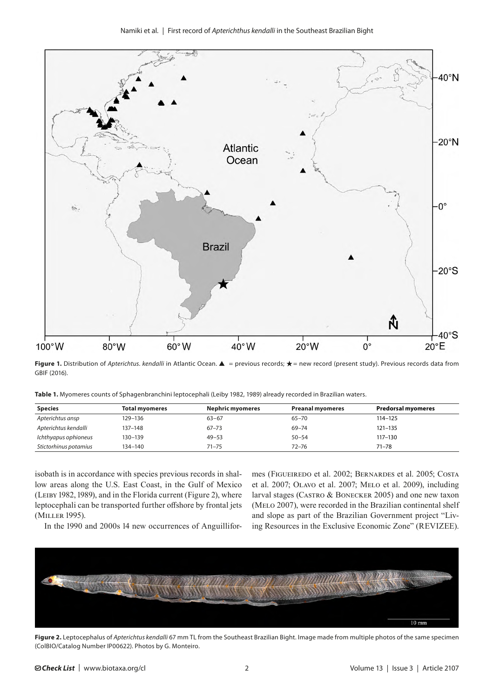

**Figure 1.** Distribution of *Apterichtus. kendalli* in Atlantic Ocean. ▲ = previous records; ★ = new record (present study). Previous records data from GBIF (2016).

| <b>Species</b>       | <b>Total myomeres</b> | Nephric myomeres | <b>Preanal myomeres</b> | Predorsal myomeres |
|----------------------|-----------------------|------------------|-------------------------|--------------------|
| Apterichtus ansp     | 129–136               | $63 - 67$        | 65-70                   | $114 - 125$        |
| Apterichtus kendalli | 137-148               | $67 - 73$        | 69-74                   | $121 - 135$        |
| Ichthyapus ophioneus | 130-139               | $49 - 53$        | $50 - 54$               | $117 - 130$        |

**Table 1.** Myomeres counts of Sphagenbranchini leptocephali (Leiby 1982, 1989) already recorded in Brazilian waters.

*Stictorhinus potamius* 134–140 71–75 72–76 71–78

isobath is in accordance with species previous records in shallow areas along the U.S. East Coast, in the Gulf of Mexico (Leiby 1982, 1989), and in the Florida current (Figure 2), where leptocephali can be transported further offshore by frontal jets (Miller 1995).

mes (Figueiredo et al. 2002; Bernardes et al. 2005; Costa et al. 2007; Olavo et al. 2007; Melo et al. 2009), including larval stages (Castro & Bonecker 2005) and one new taxon (MELO 2007), were recorded in the Brazilian continental shelf and slope as part of the Brazilian Government project "Living Resources in the Exclusive Economic Zone" (REVIZEE).

In the 1990 and 2000s 14 new occurrences of Anguillifor-



**Figure 2.** Leptocephalus of *Apterichtus kendalli* 67 mm TL from the Southeast Brazilian Bight. Image made from multiple photos of the same specimen (ColBIO/Catalog Number IP00622). Photos by G. Monteiro.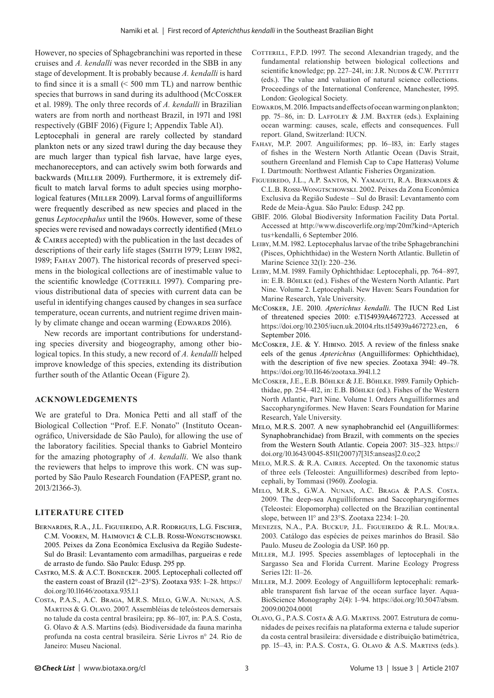However, no species of Sphagebranchini was reported in these cruises and *A. kendalli* was never recorded in the SBB in any stage of development. It is probably because *A. kendalli* is hard to find since it is a small (< 500 mm TL) and narrow benthic species that burrows in sand during its adulthood (McCosker et al. 1989). The only three records of *A. kendalli* in Brazilian waters are from north and northeast Brazil, in 1971 and 1981 respectively (GBIF 2016) (Figure 1; Appendix Table A1).

Leptocephali in general are rarely collected by standard plankton nets or any sized trawl during the day because they are much larger than typical fish larvae, have large eyes, mechanoreceptors, and can actively swim both forwards and backwards (MILLER 2009). Furthermore, it is extremely difficult to match larval forms to adult species using morphological features (MILLER 2009). Larval forms of anguilliforms were frequently described as new species and placed in the genus *Leptocephalus* until the 1960s. However, some of these species were revised and nowadays correctly identified (MELO & Caires accepted) with the publication in the last decades of descriptions of their early life stages (SMITH 1979; LEIBY 1982, 1989; Fahay 2007). The historical records of preserved specimens in the biological collections are of inestimable value to the scientific knowledge (COTTERILL 1997). Comparing previous distributional data of species with current data can be useful in identifying changes caused by changes in sea surface temperature, ocean currents, and nutrient regime driven mainly by climate change and ocean warming (EDWARDS 2016).

New records are important contributions for understanding species diversity and biogeography, among other biological topics. In this study, a new record of *A. kendalli* helped improve knowledge of this species, extending its distribution further south of the Atlantic Ocean (Figure 2).

#### **ACKNOWLEDGEMENTS**

We are grateful to Dra. Monica Petti and all staff of the Biological Collection "Prof. E.F. Nonato" (Instituto Oceanográfico, Universidade de São Paulo), for allowing the use of the laboratory facilities. Special thanks to Gabriel Monteiro for the amazing photography of *A. kendalli*. We also thank the reviewers that helps to improve this work. CN was supported by São Paulo Research Foundation (FAPESP, grant no. 2013/21366-3).

### **LITERATURE CITED**

- Bernardes, R.A., J.L. Figueiredo, A.R. Rodrigues, L.G. Fischer, C.M. Vooren, M. Haimovici & C.L.B. Rossi-Wongtschowski. 2005. Peixes da Zona Econômica Exclusiva da Região Sudeste-Sul do Brasil: Levantamento com armadilhas, pargueiras e rede de arrasto de fundo. São Paulo: Edusp. 295 pp.
- Castro, M.S. & A.C.T. Bonecker. 2005. Leptocephali collected off the eastern coast of Brazil (12°–23°S). Zootaxa 935: 1–28. [https://](https://doi.org/10.11646/zootaxa.935.1.1) [doi.org/10.11646/zootaxa.935.1.1](https://doi.org/10.11646/zootaxa.935.1.1)
- Costa, P.A.S., A.C. Braga, M.R.S. Melo, G.W.A. Nunan, A.S. Martins & G. Olavo. 2007. Assembléias de teleósteos demersais no talude da costa central brasileira; pp. 86–107, in: P.A.S. Costa, G. Olavo & A.S. Martins (eds). Biodiversidade da fauna marinha profunda na costa central brasileira. Série Livros n° 24. Rio de Janeiro: Museu Nacional.
- COTTERILL, F.P.D. 1997. The second Alexandrian tragedy, and the fundamental relationship between biological collections and scientific knowledge; pp. 227-241, in: J.R. NUDDS & C.W. PETTITT (eds.). The value and valuation of natural science collections. Proceedings of the International Conference, Manchester, 1995. London: Geological Society.
- EDWARDS, M. 2016. Impacts and effects of ocean warming on plankton; pp. 75–86, in: D. Laffoley & J.M. Baxter (eds.). Explaining ocean warming: causes, scale, effects and consequences. Full report. Gland, Switzerland: IUCN.
- Fahay, M.P. 2007. Anguiliformes; pp. 16–183, in: Early stages of fishes in the Western North Atlantic Ocean (Davis Strait, southern Greenland and Flemish Cap to Cape Hatteras) Volume I. Dartmouth: Northwest Atlantic Fisheries Organization.
- Figueiredo, J.L., A.P. Santos, N. Yamaguti, R.A. Bernardes & C.L.B. Rossi-Wongtschowski. 2002. Peixes da Zona Econômica Exclusiva da Região Sudeste – Sul do Brasil: Levantamento com Rede de Meia-Água. São Paulo: Edusp. 242 pp.
- GBIF. 2016. Global Biodiversity Information Facility Data Portal. Accessed at [http://www.discoverlife.org/mp/20m?kind=Apterich](http://www.discoverlife.org/mp/20m?kind=Apterichtus+kendalli) [tus+kendalli,](http://www.discoverlife.org/mp/20m?kind=Apterichtus+kendalli) 6 September 2016.
- Leiby, M.M. 1982. Leptocephalus larvae of the tribe Sphagebranchini (Pisces, Ophichthidae) in the Western North Atlantic. Bulletin of Marine Science 32(1): 220–236.
- Leiby, M.M. 1989. Family Ophichthidae: Leptocephali, pp. 764–897, in: E.B. Böhlke (ed.). Fishes of the Western North Atlantic. Part Nine. Volume 2. Leptocephali. New Haven: Sears Foundation for Marine Research, Yale University.
- McCosker, J.E. 2010. *Apterichtus kendalli*. The IUCN Red List of threatened species 2010: e.T154939A4672723. Accessed at <https://doi.org/10.2305/iucn.uk.20104.rlts.t154939a4672723.en>, 6 September 2016.
- McCosker, J.E. & Y. Hibino. 2015. A review of the finless snake eels of the genus *Apterichtus* (Anguilliformes: Ophichthidae), with the description of five new species. Zootaxa 3941: 49–78. <https://doi.org/10.11646/zootaxa.3941.1.2>
- McCosker, J.E., E.B. Böhlke & J.E. Böhlke. 1989. Family Ophichthidae, pp. 254–412, in: E.B. Böhlke (ed.). Fishes of the Western North Atlantic, Part Nine. Volume 1. Orders Anguilliformes and Saccopharyngiformes. New Haven: Sears Foundation for Marine Research, Yale University.
- Melo, M.R.S. 2007. A new synaphobranchid eel (Anguilliformes: Synaphobranchidae) from Brazil, with comments on the species from the Western South Atlantic. Copeia 2007: 315–323. [https://](https://doi.org/10.1643/0045-8511(2007)7%5b315:ANSEAS%5d2.0.CO;2) [doi.org/10.1643/0045-8511\(2007\)7\[315:anseas\]2.0.co;2](https://doi.org/10.1643/0045-8511(2007)7%5b315:ANSEAS%5d2.0.CO;2)
- Melo, M.R.S. & R.A. Caires. Accepted. On the taxonomic status of three eels (Teleostei: Anguilliformes) described from leptocephali, by Tommasi (1960). Zoologia.
- Melo, M.R.S., G.W.A. Nunan, A.C. Braga & P.A.S. Costa. 2009. The deep-sea Anguilliformes and Saccopharyngiformes (Teleostei: Elopomorpha) collected on the Brazilian continental slope, between 11° and 23°S. Zootaxa 2234: 1–20.
- Menezes, N.A., P.A. Buckup, J.L. Figueiredo & R.L. Moura. 2003. Catálogo das espécies de peixes marinhos do Brasil. São Paulo. Museu de Zoologia da USP. 160 pp.
- Miller, M.J. 1995. Species assemblages of leptocephali in the Sargasso Sea and Florida Current. Marine Ecology Progress Series 121: 11–26.
- MILLER, M.J. 2009. Ecology of Anguilliform leptocephali: remarkable transparent fish larvae of the ocean surface layer. Aqua-BioScience Monography 2(4): 1–94. [https://doi.org/10.5047/absm.](https://doi.org/10.5047/absm.2009.00204.0001) [2009.00204.0001](https://doi.org/10.5047/absm.2009.00204.0001)
- Olavo, G., P.A.S. Costa & A.G. Martins. 2007. Estrutura de comunidades de peixes recifais na plataforma externa e talude superior da costa central brasileira: diversidade e distribuição batimétrica, pp. 15–43, in: P.A.S. Costa, G. Olavo & A.S. Martins (eds.).